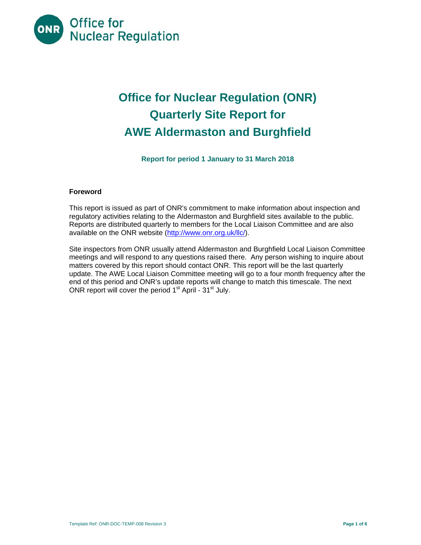

# **Office for Nuclear Regulation (ONR) Quarterly Site Report for AWE Aldermaston and Burghfield**

**Report for period 1 January to 31 March 2018** 

## **Foreword**

This report is issued as part of ONR's commitment to make information about inspection and regulatory activities relating to the Aldermaston and Burghfield sites available to the public. Reports are distributed quarterly to members for the Local Liaison Committee and are also available on the ONR website (http://www.onr.org.uk/llc/).

Site inspectors from ONR usually attend Aldermaston and Burghfield Local Liaison Committee meetings and will respond to any questions raised there. Any person wishing to inquire about matters covered by this report should contact ONR. This report will be the last quarterly update. The AWE Local Liaison Committee meeting will go to a four month frequency after the end of this period and ONR's update reports will change to match this timescale. The next ONR report will cover the period 1<sup>st</sup> April - 31<sup>st</sup> July.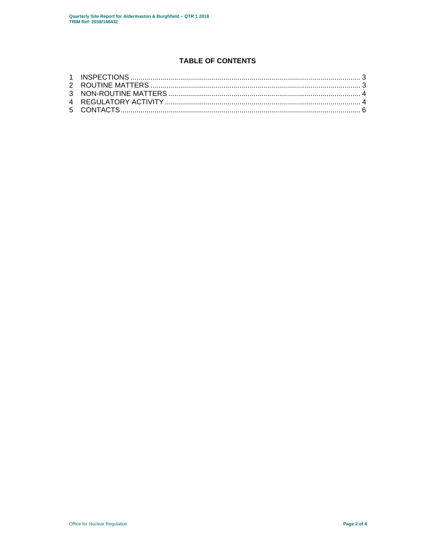# **TABLE OF CONTENTS**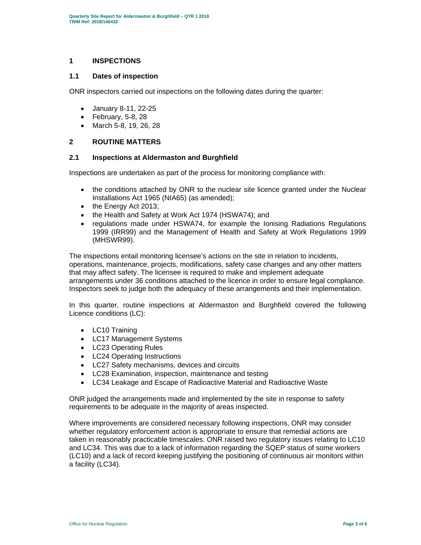### **1 INSPECTIONS**

#### **1.1 Dates of inspection**

ONR inspectors carried out inspections on the following dates during the quarter:

- January 8-11, 22-25
- $\bullet$  February, 5-8, 28
- March 5-8, 19, 26, 28

## **2 ROUTINE MATTERS**

#### **2.1 Inspections at Aldermaston and Burghfield**

Inspections are undertaken as part of the process for monitoring compliance with:

- the conditions attached by ONR to the nuclear site licence granted under the Nuclear Installations Act 1965 (NIA65) (as amended);
- the Energy Act 2013;
- the Health and Safety at Work Act 1974 (HSWA74); and
- regulations made under HSWA74, for example the Ionising Radiations Regulations 1999 (IRR99) and the Management of Health and Safety at Work Regulations 1999 (MHSWR99).

The inspections entail monitoring licensee's actions on the site in relation to incidents, operations, maintenance, projects, modifications, safety case changes and any other matters that may affect safety. The licensee is required to make and implement adequate arrangements under 36 conditions attached to the licence in order to ensure legal compliance. Inspectors seek to judge both the adequacy of these arrangements and their implementation.

In this quarter, routine inspections at Aldermaston and Burghfield covered the following Licence conditions (LC):

- LC10 Training
- LC17 Management Systems
- LC23 Operating Rules
- LC24 Operating Instructions
- LC27 Safety mechanisms, devices and circuits
- LC28 Examination, inspection, maintenance and testing
- LC34 Leakage and Escape of Radioactive Material and Radioactive Waste

ONR judged the arrangements made and implemented by the site in response to safety requirements to be adequate in the majority of areas inspected.

Where improvements are considered necessary following inspections, ONR may consider whether regulatory enforcement action is appropriate to ensure that remedial actions are taken in reasonably practicable timescales. ONR raised two regulatory issues relating to LC10 and LC34. This was due to a lack of information regarding the SQEP status of some workers (LC10) and a lack of record keeping justifying the positioning of continuous air monitors within a facility (LC34).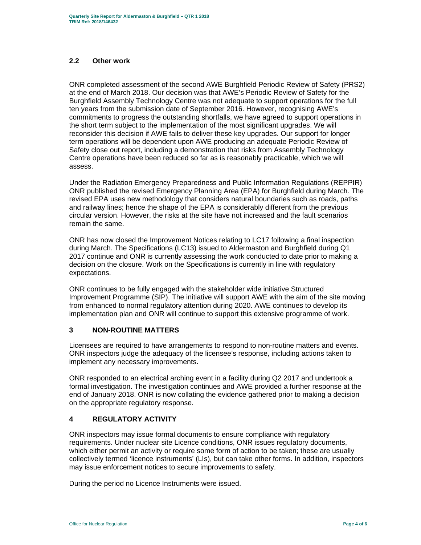## **2.2 Other work**

ONR completed assessment of the second AWE Burghfield Periodic Review of Safety (PRS2) at the end of March 2018. Our decision was that AWE's Periodic Review of Safety for the Burghfield Assembly Technology Centre was not adequate to support operations for the full ten years from the submission date of September 2016. However, recognising AWE's commitments to progress the outstanding shortfalls, we have agreed to support operations in the short term subject to the implementation of the most significant upgrades. We will reconsider this decision if AWE fails to deliver these key upgrades. Our support for longer term operations will be dependent upon AWE producing an adequate Periodic Review of Safety close out report, including a demonstration that risks from Assembly Technology Centre operations have been reduced so far as is reasonably practicable, which we will assess.

Under the Radiation Emergency Preparedness and Public Information Regulations (REPPIR) ONR published the revised Emergency Planning Area (EPA) for Burghfield during March. The revised EPA uses new methodology that considers natural boundaries such as roads, paths and railway lines; hence the shape of the EPA is considerably different from the previous circular version. However, the risks at the site have not increased and the fault scenarios remain the same.

ONR has now closed the Improvement Notices relating to LC17 following a final inspection during March. The Specifications (LC13) issued to Aldermaston and Burghfield during Q1 2017 continue and ONR is currently assessing the work conducted to date prior to making a decision on the closure. Work on the Specifications is currently in line with regulatory expectations.

ONR continues to be fully engaged with the stakeholder wide initiative Structured Improvement Programme (SIP). The initiative will support AWE with the aim of the site moving from enhanced to normal regulatory attention during 2020. AWE continues to develop its implementation plan and ONR will continue to support this extensive programme of work.

## **3 NON-ROUTINE MATTERS**

Licensees are required to have arrangements to respond to non-routine matters and events. ONR inspectors judge the adequacy of the licensee's response, including actions taken to implement any necessary improvements.

ONR responded to an electrical arching event in a facility during Q2 2017 and undertook a formal investigation. The investigation continues and AWE provided a further response at the end of January 2018. ONR is now collating the evidence gathered prior to making a decision on the appropriate regulatory response.

## **4 REGULATORY ACTIVITY**

ONR inspectors may issue formal documents to ensure compliance with regulatory requirements. Under nuclear site Licence conditions, ONR issues regulatory documents, which either permit an activity or require some form of action to be taken; these are usually collectively termed 'licence instruments' (LIs), but can take other forms. In addition, inspectors may issue enforcement notices to secure improvements to safety.

During the period no Licence Instruments were issued.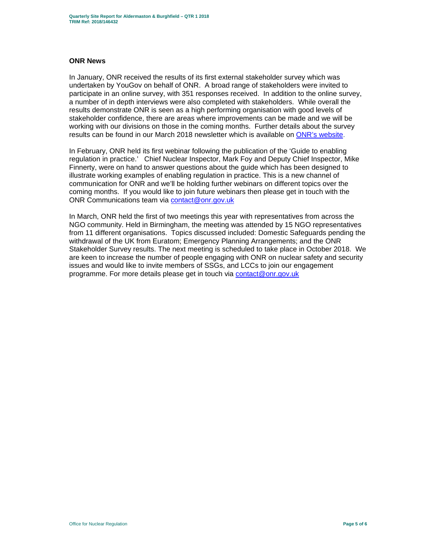#### **ONR News**

In January, ONR received the results of its first external stakeholder survey which was undertaken by YouGov on behalf of ONR. A broad range of stakeholders were invited to participate in an online survey, with 351 responses received. In addition to the online survey, a number of in depth interviews were also completed with stakeholders. While overall the results demonstrate ONR is seen as a high performing organisation with good levels of stakeholder confidence, there are areas where improvements can be made and we will be working with our divisions on those in the coming months. Further details about the survey results can be found in our March 2018 newsletter which is available on ONR's website.

In February, ONR held its first webinar following the publication of the 'Guide to enabling regulation in practice.' Chief Nuclear Inspector, Mark Foy and Deputy Chief Inspector, Mike Finnerty, were on hand to answer questions about the guide which has been designed to illustrate working examples of enabling regulation in practice. This is a new channel of communication for ONR and we'll be holding further webinars on different topics over the coming months. If you would like to join future webinars then please get in touch with the ONR Communications team via contact@onr.gov.uk

In March, ONR held the first of two meetings this year with representatives from across the NGO community. Held in Birmingham, the meeting was attended by 15 NGO representatives from 11 different organisations. Topics discussed included: Domestic Safeguards pending the withdrawal of the UK from Euratom; Emergency Planning Arrangements; and the ONR Stakeholder Survey results. The next meeting is scheduled to take place in October 2018. We are keen to increase the number of people engaging with ONR on nuclear safety and security issues and would like to invite members of SSGs, and LCCs to join our engagement programme. For more details please get in touch via contact@onr.gov.uk